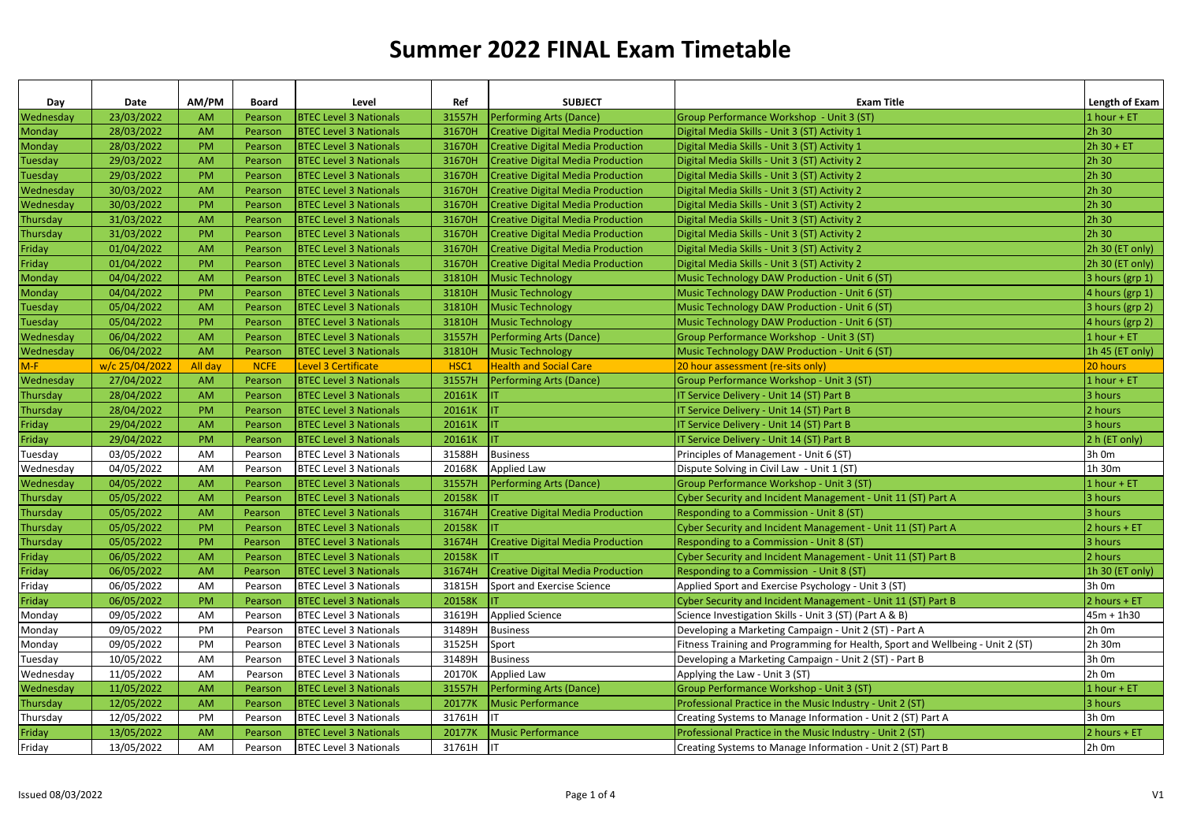| Day                    | Date<br>23/03/2022       | AM/PM<br><b>AM</b> | <b>Board</b><br>Pearson | Level<br><b>BTEC Level 3 Nationals</b>                         | Ref<br>31557H    | <b>SUBJECT</b>                                                                       | <b>Exam Title</b>                                                                              | Length of Exam<br>$1$ hour + ET |
|------------------------|--------------------------|--------------------|-------------------------|----------------------------------------------------------------|------------------|--------------------------------------------------------------------------------------|------------------------------------------------------------------------------------------------|---------------------------------|
| Wednesday              | 28/03/2022               | AM                 | Pearson                 | <b>BTEC Level 3 Nationals</b>                                  | 31670H           | <b>Performing Arts (Dance)</b><br><b>Creative Digital Media Production</b>           | Group Performance Workshop - Unit 3 (ST)<br>Digital Media Skills - Unit 3 (ST) Activity 1      | 2h 30                           |
| Monday                 | 28/03/2022               | PM                 |                         | <b>BTEC Level 3 Nationals</b>                                  | 31670H           |                                                                                      | Digital Media Skills - Unit 3 (ST) Activity 1                                                  | $2h 30 + ET$                    |
| Monday                 | 29/03/2022               | AM                 | Pearson                 | <b>BTEC Level 3 Nationals</b>                                  | 31670H           | <b>Creative Digital Media Production</b><br><b>Creative Digital Media Production</b> | Digital Media Skills - Unit 3 (ST) Activity 2                                                  | 2h 30                           |
| Tuesday                |                          | PM                 | Pearson                 | <b>BTEC Level 3 Nationals</b>                                  | 31670H           | <b>Creative Digital Media Production</b>                                             | Digital Media Skills - Unit 3 (ST) Activity 2                                                  | 2h 30                           |
| <b>Tuesday</b>         | 29/03/2022<br>30/03/2022 | AM                 | Pearson<br>Pearson      |                                                                |                  |                                                                                      |                                                                                                | 2h 30                           |
| Wednesday<br>Wednesday | 30/03/2022               | PM                 | Pearson                 | <b>BTEC Level 3 Nationals</b><br><b>BTEC Level 3 Nationals</b> | 31670H<br>31670H | <b>Creative Digital Media Production</b><br><b>Creative Digital Media Production</b> | Digital Media Skills - Unit 3 (ST) Activity 2<br>Digital Media Skills - Unit 3 (ST) Activity 2 | 2h 30                           |
| Thursday               | 31/03/2022               | AM                 | Pearson                 | <b>BTEC Level 3 Nationals</b>                                  | 31670H           | <b>Creative Digital Media Production</b>                                             | Digital Media Skills - Unit 3 (ST) Activity 2                                                  | 2h 30                           |
| Thursday               | 31/03/2022               | PM                 | Pearson                 | <b>BTEC Level 3 Nationals</b>                                  | 31670H           |                                                                                      | Digital Media Skills - Unit 3 (ST) Activity 2                                                  | 2h 30                           |
|                        | 01/04/2022               | AM                 |                         | <b>BTEC Level 3 Nationals</b>                                  | 31670H           | <b>Creative Digital Media Production</b>                                             | Digital Media Skills - Unit 3 (ST) Activity 2                                                  |                                 |
| Friday                 |                          |                    | Pearson                 |                                                                |                  | <b>Creative Digital Media Production</b>                                             |                                                                                                | 2h 30 (ET only)                 |
| Friday                 | 01/04/2022               | <b>PM</b>          | Pearson                 | <b>BTEC Level 3 Nationals</b>                                  | 31670H           | <b>Creative Digital Media Production</b>                                             | Digital Media Skills - Unit 3 (ST) Activity 2                                                  | 2h 30 (ET only)                 |
| Monday                 | 04/04/2022               | AM                 | Pearson                 | <b>BTEC Level 3 Nationals</b>                                  | 31810H           | <b>Music Technology</b>                                                              | Music Technology DAW Production - Unit 6 (ST)                                                  | $3$ hours (grp 1)               |
| Monday                 | 04/04/2022               | PM                 | Pearson                 | <b>BTEC Level 3 Nationals</b>                                  | 31810H           | <b>Music Technology</b>                                                              | Music Technology DAW Production - Unit 6 (ST)                                                  | 4 hours (grp 1)                 |
| Tuesday                | 05/04/2022               | AM                 | Pearson                 | <b>BTEC Level 3 Nationals</b>                                  | 31810H           | <b>Music Technology</b>                                                              | Music Technology DAW Production - Unit 6 (ST)                                                  | 3 hours (grp 2)                 |
| Tuesday                | 05/04/2022               | PM                 | Pearson                 | <b>BTEC Level 3 Nationals</b>                                  | 31810H           | <b>Music Technology</b>                                                              | Music Technology DAW Production - Unit 6 (ST)                                                  | 4 hours (grp 2)                 |
| Wednesday              | 06/04/2022               | AM                 | Pearson                 | <b>BTEC Level 3 Nationals</b>                                  | 31557H           | <b>Performing Arts (Dance)</b>                                                       | Group Performance Workshop - Unit 3 (ST)                                                       | $1$ hour + ET                   |
| Wednesday              | 06/04/2022               | AM                 | Pearson                 | <b>BTEC Level 3 Nationals</b>                                  | 31810H           | <b>Music Technology</b>                                                              | Music Technology DAW Production - Unit 6 (ST)                                                  | 1h 45 (ET only)                 |
| $M-F$                  | w/c 25/04/2022           | All day            | <b>NCFE</b>             | <b>Level 3 Certificate</b>                                     | HSC1             | <b>Health and Social Care</b>                                                        | 20 hour assessment (re-sits only)                                                              | 20 hours                        |
| Wednesday              | 27/04/2022               | <b>AM</b>          | Pearson                 | <b>BTEC Level 3 Nationals</b>                                  | 31557H           | <b>Performing Arts (Dance)</b>                                                       | Group Performance Workshop - Unit 3 (ST)                                                       | $1$ hour + ET                   |
| Thursday               | 28/04/2022               | <b>AM</b>          | Pearson                 | <b>BTEC Level 3 Nationals</b>                                  | 20161K           | IΤ                                                                                   | IT Service Delivery - Unit 14 (ST) Part B                                                      | 3 hours                         |
| Thursday               | 28/04/2022               | PM                 | Pearson                 | <b>BTEC Level 3 Nationals</b>                                  | 20161K           |                                                                                      | IT Service Delivery - Unit 14 (ST) Part B                                                      | 2 hours                         |
| Friday                 | 29/04/2022               | AM                 | Pearson                 | <b>BTEC Level 3 Nationals</b>                                  | 20161K           |                                                                                      | IT Service Delivery - Unit 14 (ST) Part B                                                      | 3 hours                         |
| Friday                 | 29/04/2022               | PM                 | Pearson                 | <b>BTEC Level 3 Nationals</b>                                  | 20161K           |                                                                                      | IT Service Delivery - Unit 14 (ST) Part B                                                      | 2 h (ET only)                   |
| Tuesday                | 03/05/2022               | AM                 | Pearson                 | <b>BTEC Level 3 Nationals</b>                                  | 31588H           | <b>Business</b>                                                                      | Principles of Management - Unit 6 (ST)                                                         | 3h 0m                           |
| Wednesday              | 04/05/2022               | AM                 | Pearson                 | <b>BTEC Level 3 Nationals</b>                                  | 20168K           | <b>Applied Law</b>                                                                   | Dispute Solving in Civil Law - Unit 1 (ST)                                                     | 1h 30m                          |
| Wednesday              | 04/05/2022               | AM                 | Pearson                 | <b>BTEC Level 3 Nationals</b>                                  | 31557H           | <b>Performing Arts (Dance)</b>                                                       | Group Performance Workshop - Unit 3 (ST)                                                       | $1$ hour + ET                   |
| Thursday               | 05/05/2022               | AM                 | Pearson                 | <b>BTEC Level 3 Nationals</b>                                  | 20158K           |                                                                                      | Cyber Security and Incident Management - Unit 11 (ST) Part A                                   | 3 hours                         |
| Thursday               | 05/05/2022               | AM                 | Pearson                 | <b>BTEC Level 3 Nationals</b>                                  | 31674H           | <b>Creative Digital Media Production</b>                                             | Responding to a Commission - Unit 8 (ST)                                                       | 3 hours                         |
| Thursday               | 05/05/2022               | PM                 | Pearson                 | <b>BTEC Level 3 Nationals</b>                                  | 20158K           |                                                                                      | Cyber Security and Incident Management - Unit 11 (ST) Part A                                   | 2 hours + ET                    |
| Thursday               | 05/05/2022               | <b>PM</b>          | Pearson                 | <b>BTEC Level 3 Nationals</b>                                  | 31674H           | <b>Creative Digital Media Production</b>                                             | Responding to a Commission - Unit 8 (ST)                                                       | 3 hours                         |
| Friday                 | 06/05/2022               | AM                 | Pearson                 | <b>BTEC Level 3 Nationals</b>                                  | 20158K           |                                                                                      | Cyber Security and Incident Management - Unit 11 (ST) Part B                                   | 2 hours                         |
| Friday                 | 06/05/2022               | AM                 | Pearson                 | <b>BTEC Level 3 Nationals</b>                                  | 31674H           | <b>Creative Digital Media Production</b>                                             | Responding to a Commission - Unit 8 (ST)                                                       | 1h 30 (ET only)                 |
| Friday                 | 06/05/2022               | AM                 | Pearson                 | <b>BTEC Level 3 Nationals</b>                                  | 31815H           | Sport and Exercise Science                                                           | Applied Sport and Exercise Psychology - Unit 3 (ST)                                            | 3h 0m                           |
| Friday                 | 06/05/2022               | <b>PM</b>          | Pearson                 | <b>BTEC Level 3 Nationals</b>                                  | 20158K           |                                                                                      | Cyber Security and Incident Management - Unit 11 (ST) Part B                                   | 2 hours + ET                    |
| Monday                 | 09/05/2022               | AM                 | Pearson                 | <b>BTEC Level 3 Nationals</b>                                  | 31619H           | <b>Applied Science</b>                                                               | Science Investigation Skills - Unit 3 (ST) (Part A & B)                                        | $45m + 1h30$                    |
| Monday                 | 09/05/2022               | PM                 | Pearson                 | <b>BTEC Level 3 Nationals</b>                                  | 31489H           | <b>Business</b>                                                                      | Developing a Marketing Campaign - Unit 2 (ST) - Part A                                         | $2h$ Om                         |
| Monday                 | 09/05/2022               | PM                 | Pearson                 | <b>BTEC Level 3 Nationals</b>                                  | 31525H           | Sport                                                                                | Fitness Training and Programming for Health, Sport and Wellbeing - Unit 2 (ST)                 | 2h 30m                          |
| Tuesday                | 10/05/2022               | AM                 | Pearson                 | <b>BTEC Level 3 Nationals</b>                                  | 31489H           | <b>Business</b>                                                                      | Developing a Marketing Campaign - Unit 2 (ST) - Part B                                         | 3h 0m                           |
| Wednesday              | 11/05/2022               | AM                 | Pearson                 | <b>BTEC Level 3 Nationals</b>                                  | 20170K           | Applied Law                                                                          | Applying the Law - Unit 3 (ST)                                                                 | $2h$ Om                         |
| Wednesday              | 11/05/2022               | AM                 | Pearson                 | <b>BTEC Level 3 Nationals</b>                                  | 31557H           | <b>Performing Arts (Dance)</b>                                                       | Group Performance Workshop - Unit 3 (ST)                                                       | $1$ hour + ET                   |
| Thursday               | 12/05/2022               | AM                 | Pearson                 | <b>BTEC Level 3 Nationals</b>                                  | 20177K           | <b>Music Performance</b>                                                             | Professional Practice in the Music Industry - Unit 2 (ST)                                      | 3 hours                         |
| Thursday               | 12/05/2022               | PM                 | Pearson                 | <b>BTEC Level 3 Nationals</b>                                  | 31761H           | IΤ                                                                                   | Creating Systems to Manage Information - Unit 2 (ST) Part A                                    | 3h 0m                           |
| Friday                 | 13/05/2022               | AM                 | Pearson                 | <b>BTEC Level 3 Nationals</b>                                  | 20177K           | <b>Music Performance</b>                                                             | Professional Practice in the Music Industry - Unit 2 (ST)                                      | 2 hours + ET                    |
| Friday                 | 13/05/2022               | AM                 | Pearson                 | <b>BTEC Level 3 Nationals</b>                                  | 31761H           | IT                                                                                   | Creating Systems to Manage Information - Unit 2 (ST) Part B                                    | 2h 0m                           |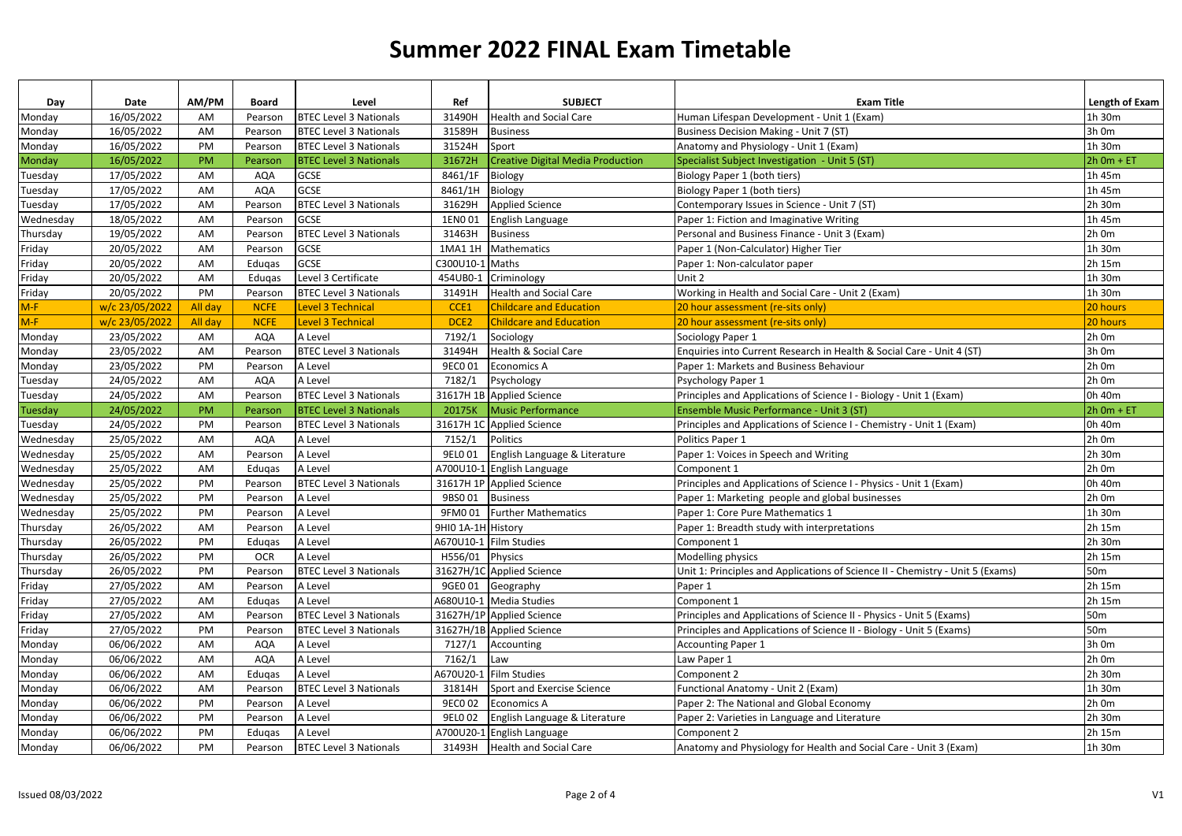| Day       | Date           | AM/PM     | Board       | Level                         | Ref                | <b>SUBJECT</b>                           | <b>Exam Title</b>                                                              | Length of Exam  |
|-----------|----------------|-----------|-------------|-------------------------------|--------------------|------------------------------------------|--------------------------------------------------------------------------------|-----------------|
| Monday    | 16/05/2022     | AM        | Pearson     | <b>BTEC Level 3 Nationals</b> | 31490H             | <b>Health and Social Care</b>            | Human Lifespan Development - Unit 1 (Exam)                                     | 1h 30m          |
| Monday    | 16/05/2022     | AM        | Pearson     | <b>BTEC Level 3 Nationals</b> | 31589H             | <b>Business</b>                          | Business Decision Making - Unit 7 (ST)                                         | 3h 0m           |
| Monday    | 16/05/2022     | PM        | Pearson     | <b>BTEC Level 3 Nationals</b> | 31524H             | Sport                                    | Anatomy and Physiology - Unit 1 (Exam)                                         | 1h 30m          |
| Monday    | 16/05/2022     | <b>PM</b> | Pearson     | <b>BTEC Level 3 Nationals</b> | 31672H             | <b>Creative Digital Media Production</b> | Specialist Subject Investigation - Unit 5 (ST)                                 | $2h$ Om + ET    |
| Tuesday   | 17/05/2022     | AM        | AQA         | <b>GCSE</b>                   | 8461/1F            | Biology                                  | Biology Paper 1 (both tiers)                                                   | 1h 45m          |
| Tuesday   | 17/05/2022     | AM        | <b>AQA</b>  | <b>GCSE</b>                   | 8461/1H            | <b>Biology</b>                           | Biology Paper 1 (both tiers)                                                   | 1h 45m          |
| Tuesday   | 17/05/2022     | AM        | Pearson     | <b>BTEC Level 3 Nationals</b> | 31629H             | <b>Applied Science</b>                   | Contemporary Issues in Science - Unit 7 (ST)                                   | 2h 30m          |
| Wednesday | 18/05/2022     | AM        | Pearson     | <b>GCSE</b>                   | 1EN001             | English Language                         | Paper 1: Fiction and Imaginative Writing                                       | 1h 45m          |
| Thursday  | 19/05/2022     | AM        | Pearson     | <b>BTEC Level 3 Nationals</b> | 31463H             | <b>Business</b>                          | Personal and Business Finance - Unit 3 (Exam)                                  | 2h 0m           |
| Friday    | 20/05/2022     | AM        | Pearson     | <b>GCSE</b>                   | 1MA1 1H            | Mathematics                              | Paper 1 (Non-Calculator) Higher Tier                                           | 1h 30m          |
| Friday    | 20/05/2022     | AM        | Edugas      | <b>GCSE</b>                   | C300U10-1          | Maths                                    | Paper 1: Non-calculator paper                                                  | 2h 15m          |
| Friday    | 20/05/2022     | AM        | Edugas      | Level 3 Certificate           | 454UB0-1           | Criminology                              | Unit 2                                                                         | 1h 30m          |
| Friday    | 20/05/2022     | PM        | Pearson     | <b>BTEC Level 3 Nationals</b> | 31491H             | <b>Health and Social Care</b>            | Working in Health and Social Care - Unit 2 (Exam)                              | 1h 30m          |
| $M-F$     | w/c 23/05/2022 | All day   | <b>NCFE</b> | <b>Level 3 Technical</b>      | CCE1               | <b>Childcare and Education</b>           | 20 hour assessment (re-sits only)                                              | 20 hours        |
| $M-F$     | w/c 23/05/2022 | All day   | <b>NCFE</b> | <b>Level 3 Technical</b>      | DCE <sub>2</sub>   | <b>Childcare and Education</b>           | 20 hour assessment (re-sits only)                                              | 20 hours        |
| Monday    | 23/05/2022     | AM        | <b>AQA</b>  | A Level                       | 7192/1             | Sociology                                | Sociology Paper 1                                                              | 2h 0m           |
| Monday    | 23/05/2022     | AM        | Pearson     | <b>BTEC Level 3 Nationals</b> | 31494H             | Health & Social Care                     | Enquiries into Current Research in Health & Social Care - Unit 4 (ST)          | 3h 0m           |
| Monday    | 23/05/2022     | PM        | Pearson     | A Level                       | 9EC0 01            | <b>Economics A</b>                       | Paper 1: Markets and Business Behaviour                                        | 2h 0m           |
| Tuesday   | 24/05/2022     | AM        | AQA         | A Level                       | 7182/1             | Psychology                               | Psychology Paper 1                                                             | 2h 0m           |
| Tuesday   | 24/05/2022     | AM        | Pearson     | <b>BTEC Level 3 Nationals</b> |                    | 31617H 1B Applied Science                | Principles and Applications of Science I - Biology - Unit 1 (Exam)             | 0h 40m          |
| Tuesday   | 24/05/2022     | PM        | Pearson     | <b>BTEC Level 3 Nationals</b> | 20175K             | <b>Music Performance</b>                 | Ensemble Music Performance - Unit 3 (ST)                                       | $2h$ Om + ET    |
| Tuesday   | 24/05/2022     | PM        | Pearson     | <b>BTEC Level 3 Nationals</b> |                    | 31617H 1C Applied Science                | Principles and Applications of Science I - Chemistry - Unit 1 (Exam)           | 0h 40m          |
| Wednesday | 25/05/2022     | AM        | AQA         | A Level                       | 7152/1             | Politics                                 | Politics Paper 1                                                               | 2h 0m           |
| Wednesday | 25/05/2022     | AM        | Pearson     | A Level                       | 9EL0 01            | English Language & Literature            | Paper 1: Voices in Speech and Writing                                          | 2h 30m          |
| Wednesday | 25/05/2022     | AM        | Edugas      | A Level                       |                    | A700U10-1 English Language               | Component 1                                                                    | 2h 0m           |
| Wednesday | 25/05/2022     | PM        | Pearson     | <b>BTEC Level 3 Nationals</b> | 31617H 1P          | <b>Applied Science</b>                   | Principles and Applications of Science I - Physics - Unit 1 (Exam)             | 0h 40m          |
| Wednesday | 25/05/2022     | PM        | Pearson     | A Level                       | 9BS001             | <b>Business</b>                          | Paper 1: Marketing people and global businesses                                | 2h 0m           |
| Wednesday | 25/05/2022     | PM        | Pearson     | A Level                       | 9FM0 01            | <b>Further Mathematics</b>               | Paper 1: Core Pure Mathematics 1                                               | 1h 30m          |
| Thursday  | 26/05/2022     | AM        | Pearson     | A Level                       | 9HI0 1A-1H History |                                          | Paper 1: Breadth study with interpretations                                    | 2h 15m          |
| Thursday  | 26/05/2022     | PM        | Edugas      | A Level                       |                    | A670U10-1 Film Studies                   | Component 1                                                                    | 2h 30m          |
| Thursday  | 26/05/2022     | PM        | <b>OCR</b>  | A Level                       | H556/01            | Physics                                  | Modelling physics                                                              | 2h 15m          |
| Thursday  | 26/05/2022     | PM        | Pearson     | <b>BTEC Level 3 Nationals</b> |                    | 31627H/1C Applied Science                | Unit 1: Principles and Applications of Science II - Chemistry - Unit 5 (Exams) | 50 <sub>m</sub> |
| Friday    | 27/05/2022     | AM        | Pearson     | A Level                       | 9GE0 01            | Geography                                | Paper 1                                                                        | 2h 15m          |
| Friday    | 27/05/2022     | AM        | Edugas      | A Level                       | A680U10-1          | <b>Media Studies</b>                     | Component 1                                                                    | 2h 15m          |
| Friday    | 27/05/2022     | AM        | Pearson     | <b>BTEC Level 3 Nationals</b> |                    | 31627H/1P Applied Science                | Principles and Applications of Science II - Physics - Unit 5 (Exams)           | 50 <sub>m</sub> |
| Friday    | 27/05/2022     | PM        | Pearson     | <b>BTEC Level 3 Nationals</b> |                    | 31627H/1B Applied Science                | Principles and Applications of Science II - Biology - Unit 5 (Exams)           | 50 <sub>m</sub> |
| Monday    | 06/06/2022     | AM        | AQA         | A Level                       | 7127/1             | Accounting                               | <b>Accounting Paper 1</b>                                                      | 3h 0m           |
| Monday    | 06/06/2022     | AM        | <b>AQA</b>  | A Level                       | 7162/1             | Law                                      | Law Paper 1                                                                    | 2h 0m           |
| Monday    | 06/06/2022     | AM        | Edugas      | A Level                       | A670U20-1          | <b>Film Studies</b>                      | Component 2                                                                    | 2h 30m          |
| Monday    | 06/06/2022     | AM        | Pearson     | <b>BTEC Level 3 Nationals</b> | 31814H             | Sport and Exercise Science               | Functional Anatomy - Unit 2 (Exam)                                             | 1h 30m          |
| Monday    | 06/06/2022     | PM        | Pearson     | A Level                       | 9EC0 02            | <b>Economics A</b>                       | Paper 2: The National and Global Economy                                       | 2h 0m           |
| Monday    | 06/06/2022     | PM        | Pearson     | A Level                       | 9EL0 02            | English Language & Literature            | Paper 2: Varieties in Language and Literature                                  | 2h 30m          |
| Monday    | 06/06/2022     | PM        | Edugas      | A Level                       | A700U20-1          | English Language                         | Component 2                                                                    | 2h 15m          |
| Monday    | 06/06/2022     | PM        | Pearson     | <b>BTEC Level 3 Nationals</b> | 31493H             | <b>Health and Social Care</b>            | Anatomy and Physiology for Health and Social Care - Unit 3 (Exam)              | 1h 30m          |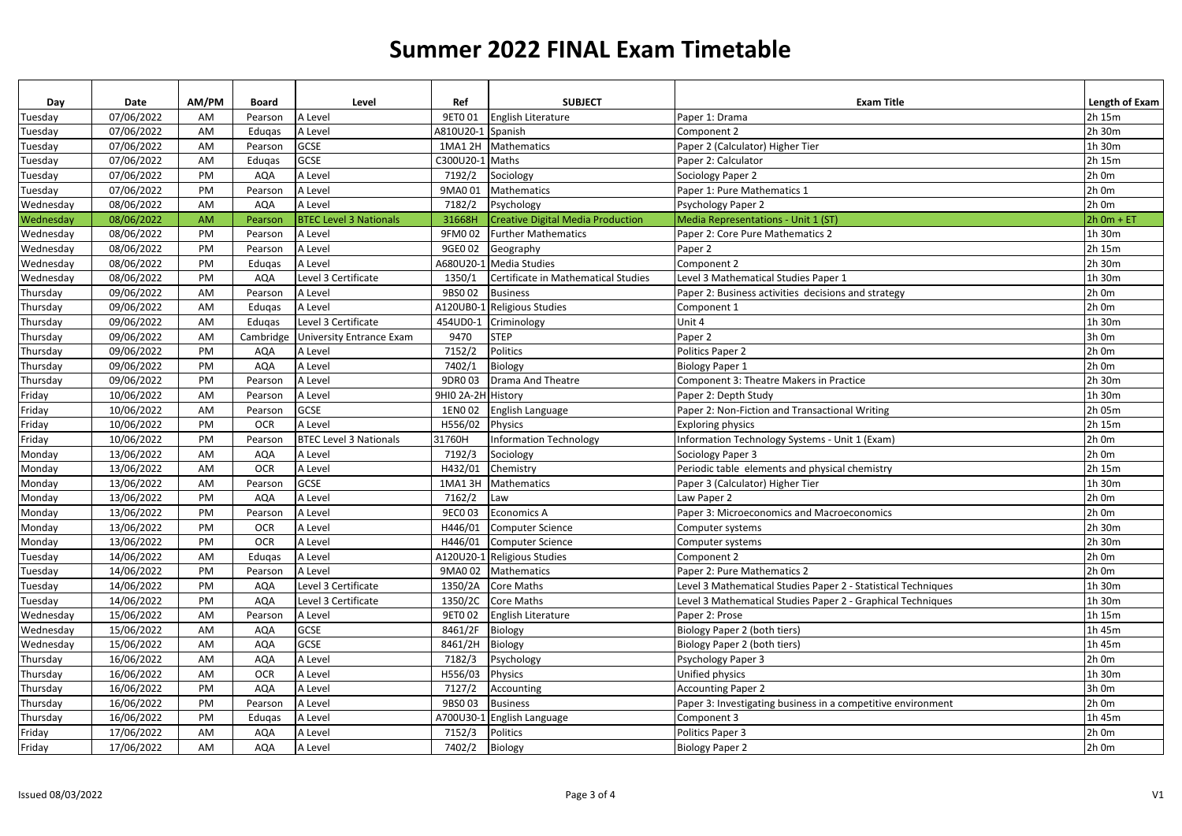| Day       | Date       | AM/PM | Board      | Level                              | Ref                | <b>SUBJECT</b>                           | <b>Exam Title</b>                                             | Length of Exam |
|-----------|------------|-------|------------|------------------------------------|--------------------|------------------------------------------|---------------------------------------------------------------|----------------|
| Tuesday   | 07/06/2022 | AM    | Pearson    | A Level                            | 9ET0 01            | English Literature                       | Paper 1: Drama                                                | 2h 15m         |
| Tuesday   | 07/06/2022 | AM    | Edugas     | A Level                            | A810U20-1          | Spanish                                  | Component 2                                                   | 2h 30m         |
| Tuesday   | 07/06/2022 | AM    | Pearson    | GCSE                               | 1MA1 2H            | Mathematics                              | Paper 2 (Calculator) Higher Tier                              | 1h 30m         |
| Tuesday   | 07/06/2022 | AM    | Edugas     | <b>GCSE</b>                        | C300U20-1          | Maths                                    | Paper 2: Calculator                                           | 2h 15m         |
| Tuesday   | 07/06/2022 | PM    | <b>AQA</b> | A Level                            | 7192/2             | Sociology                                | Sociology Paper 2                                             | 2h 0m          |
| Tuesday   | 07/06/2022 | PM    | Pearson    | A Level                            | 9MA0 01            | <b>Mathematics</b>                       | Paper 1: Pure Mathematics 1                                   | 2h 0m          |
| Wednesday | 08/06/2022 | AM    | <b>AQA</b> | A Level                            | 7182/2             | Psychology                               | Psychology Paper 2                                            | 2h 0m          |
| Wednesday | 08/06/2022 | AM    | Pearson    | <b>BTEC Level 3 Nationals</b>      | 31668H             | <b>Creative Digital Media Production</b> | Media Representations - Unit 1 (ST)                           | $2h$ Om + ET   |
| Wednesday | 08/06/2022 | PM    | Pearson    | A Level                            | 9FM0 02            | <b>Further Mathematics</b>               | Paper 2: Core Pure Mathematics 2                              | 1h 30m         |
| Wednesday | 08/06/2022 | PM    | Pearson    | A Level                            | 9GE0 02            | Geography                                | Paper 2                                                       | 2h 15m         |
| Wednesday | 08/06/2022 | PM    | Eduqas     | A Level                            | A680U20-1          | <b>Media Studies</b>                     | Component 2                                                   | 2h 30m         |
| Wednesday | 08/06/2022 | PM    | <b>AQA</b> | Level 3 Certificate                | 1350/1             | Certificate in Mathematical Studies      | Level 3 Mathematical Studies Paper 1                          | 1h 30m         |
| Thursday  | 09/06/2022 | AM    | Pearson    | A Level                            | 9BS002             | <b>Business</b>                          | Paper 2: Business activities decisions and strategy           | 2h 0m          |
| Thursday  | 09/06/2022 | AM    | Eduqas     | A Level                            | A120UB0-1          | Religious Studies                        | Component 1                                                   | 2h 0m          |
| Thursday  | 09/06/2022 | AM    | Edugas     | Level 3 Certificate                | 454UD0-1           | Criminology                              | Unit 4                                                        | 1h 30m         |
| Thursday  | 09/06/2022 | AM    |            | Cambridge University Entrance Exam | 9470               | <b>STEP</b>                              | Paper 2                                                       | 3h 0m          |
| Thursday  | 09/06/2022 | PM    | <b>AQA</b> | A Level                            | 7152/2             | Politics                                 | Politics Paper 2                                              | 2h 0m          |
| Thursday  | 09/06/2022 | PM    | <b>AQA</b> | A Level                            | 7402/1             | Biology                                  | <b>Biology Paper 1</b>                                        | 2h 0m          |
| Thursday  | 09/06/2022 | PM    | Pearson    | A Level                            | 9DR0 03            | <b>Drama And Theatre</b>                 | Component 3: Theatre Makers in Practice                       | 2h 30m         |
| Friday    | 10/06/2022 | AM    | Pearson    | A Level                            | 9HI0 2A-2H History |                                          | Paper 2: Depth Study                                          | 1h 30m         |
| Friday    | 10/06/2022 | AM    | Pearson    | <b>GCSE</b>                        | 1EN002             | English Language                         | Paper 2: Non-Fiction and Transactional Writing                | 2h 05m         |
| Friday    | 10/06/2022 | PM    | <b>OCR</b> | A Level                            | H556/02            | Physics                                  | <b>Exploring physics</b>                                      | 2h 15m         |
| Friday    | 10/06/2022 | PM    | Pearson    | <b>BTEC Level 3 Nationals</b>      | 31760H             | Information Technology                   | Information Technology Systems - Unit 1 (Exam)                | 2h 0m          |
| Monday    | 13/06/2022 | AM    | <b>AQA</b> | A Level                            | 7192/3             | Sociology                                | Sociology Paper 3                                             | 2h 0m          |
| Monday    | 13/06/2022 | AM    | <b>OCR</b> | A Level                            | H432/01            | Chemistry                                | Periodic table elements and physical chemistry                | 2h 15m         |
| Monday    | 13/06/2022 | AM    | Pearson    | GCSE                               | 1MA1 3H            | Mathematics                              | Paper 3 (Calculator) Higher Tier                              | 1h 30m         |
| Monday    | 13/06/2022 | PM    | <b>AQA</b> | A Level                            | 7162/2             | Law                                      | Law Paper 2                                                   | $2h$ Om        |
| Monday    | 13/06/2022 | PM    | Pearson    | A Level                            | 9EC0 03            | <b>Economics A</b>                       | Paper 3: Microeconomics and Macroeconomics                    | 2h 0m          |
| Monday    | 13/06/2022 | PM    | <b>OCR</b> | A Level                            | H446/01            | Computer Science                         | Computer systems                                              | 2h 30m         |
| Monday    | 13/06/2022 | PM    | <b>OCR</b> | A Level                            | H446/01            | Computer Science                         | Computer systems                                              | 2h 30m         |
| Tuesday   | 14/06/2022 | AM    | Eduqas     | A Level                            | A120U20-1          | <b>Religious Studies</b>                 | Component 2                                                   | 2h 0m          |
| Tuesday   | 14/06/2022 | PM    | Pearson    | A Level                            | 9MA0 02            | Mathematics                              | Paper 2: Pure Mathematics 2                                   | 2h 0m          |
| Tuesday   | 14/06/2022 | PM    | AQA        | Level 3 Certificate                | 1350/2A            | Core Maths                               | Level 3 Mathematical Studies Paper 2 - Statistical Techniques | 1h 30m         |
| Tuesday   | 14/06/2022 | PM    | <b>AQA</b> | Level 3 Certificate                | 1350/2C            | <b>Core Maths</b>                        | Level 3 Mathematical Studies Paper 2 - Graphical Techniques   | 1h 30m         |
| Wednesday | 15/06/2022 | AM    | Pearson    | A Level                            | <b>9ETO 02</b>     | English Literature                       | Paper 2: Prose                                                | 1h 15m         |
| Wednesday | 15/06/2022 | AM    | AQA        | <b>GCSE</b>                        | 8461/2F            | Biology                                  | Biology Paper 2 (both tiers)                                  | 1h 45m         |
| Wednesday | 15/06/2022 | AM    | <b>AQA</b> | GCSE                               | 8461/2H            | <b>Biology</b>                           | Biology Paper 2 (both tiers)                                  | 1h 45m         |
| Thursday  | 16/06/2022 | AM    | <b>AQA</b> | A Level                            | 7182/3             | Psychology                               | Psychology Paper 3                                            | 2h 0m          |
| Thursday  | 16/06/2022 | AM    | <b>OCR</b> | A Level                            | H556/03            | Physics                                  | Unified physics                                               | 1h 30m         |
| Thursday  | 16/06/2022 | PM    | <b>AQA</b> | A Level                            | 7127/2             | Accounting                               | <b>Accounting Paper 2</b>                                     | 3h 0m          |
| Thursday  | 16/06/2022 | PM    | Pearson    | A Level                            | 9BS003             | <b>Business</b>                          | Paper 3: Investigating business in a competitive environment  | 2h 0m          |
| Thursday  | 16/06/2022 | PM    | Edugas     | A Level                            | A700U30-1          | English Language                         | Component 3                                                   | 1h 45m         |
| Friday    | 17/06/2022 | AM    | <b>AQA</b> | A Level                            | 7152/3             | Politics                                 | Politics Paper 3                                              | $2h$ Om        |
| Friday    | 17/06/2022 | AM    | <b>AQA</b> | A Level                            | 7402/2             | Biology                                  | <b>Biology Paper 2</b>                                        | 2h 0m          |